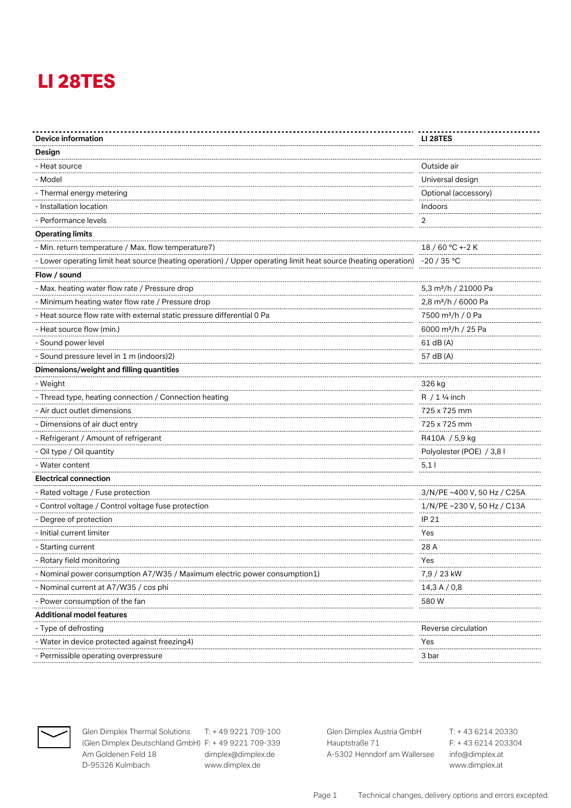| Device information                                                                                              | <b>LI 28TES</b>                  |
|-----------------------------------------------------------------------------------------------------------------|----------------------------------|
| Design                                                                                                          |                                  |
| - Heat source                                                                                                   | Outside air                      |
| - Model                                                                                                         | Universal design                 |
| - Thermal energy metering                                                                                       | Optional (accessory)             |
| - Installation location                                                                                         | Indoors                          |
| - Performance levels                                                                                            | 2                                |
| <b>Operating limits</b>                                                                                         |                                  |
| - Min. return temperature / Max. flow temperature7)                                                             | 18 / 60 °C +-2 K                 |
| - Lower operating limit heat source (heating operation) / Upper operating limit heat source (heating operation) | -20 / 35 °C                      |
| Flow / sound                                                                                                    |                                  |
| - Max. heating water flow rate / Pressure drop                                                                  | 5,3 m <sup>3</sup> /h / 21000 Pa |
| - Minimum heating water flow rate / Pressure drop                                                               | 2,8 m <sup>3</sup> /h / 6000 Pa  |
| - Heat source flow rate with external static pressure differential 0 Pa                                         | 7500 m <sup>3</sup> /h / 0 Pa    |
| - Heat source flow (min.)                                                                                       | 6000 m <sup>3</sup> /h / 25 Pa   |
| - Sound power level                                                                                             | 61 dB (A)                        |
| - Sound pressure level in 1 m (indoors)2)                                                                       | 57 dB (A)                        |
| Dimensions/weight and filling quantities                                                                        |                                  |
| - Weight                                                                                                        | 326 kg                           |
| - Thread type, heating connection / Connection heating                                                          | $R / 1$ ¼ inch                   |
| - Air duct outlet dimensions                                                                                    | 725 x 725 mm                     |
| Dimensions of air duct entry                                                                                    | 725 x 725 mm                     |
| - Refrigerant / Amount of refrigerant                                                                           | R410A / 5,9 kg                   |
| - Oil type / Oil quantity                                                                                       | Polyolester (POE) / 3,8 l        |
| - Water content                                                                                                 | 5,1 I                            |
| <b>Electrical connection</b>                                                                                    |                                  |
| - Rated voltage / Fuse protection                                                                               | 3/N/PE ~400 V, 50 Hz / C25A      |
| - Control voltage / Control voltage fuse protection                                                             | 1/N/PE ~230 V, 50 Hz / C13A      |
| - Degree of protection                                                                                          | IP 21                            |
| - Initial current limiter                                                                                       | Yes                              |
| - Starting current                                                                                              | 28 A                             |
| - Rotary field monitoring                                                                                       | Yes                              |
| Nominal power consumption A7/W35 / Maximum electric power consumption 1)                                        | 7,9 / 23 kW                      |
| - Nominal current at A7/W35 / cos phi                                                                           | 14,3 A / 0,8                     |
| - Power consumption of the fan                                                                                  | 580 W                            |
| <b>Additional model features</b>                                                                                |                                  |
| - Type of defrosting                                                                                            | Reverse circulation              |
| - Water in device protected against freezing4)                                                                  | Yes                              |
| - Permissible operating overpressure                                                                            | 3 bar                            |
|                                                                                                                 |                                  |



**Glen Dimplex Thermal Solutions** T: + 49 9221 709-100 **Glen Dimplex Austria GmbH** T: + 43 6214 20330 (Glen Dimplex Deutschland GmbH) F: + 49 9221 709-339 Hauptstraße 71 Am Goldenen Feld 18 dimplex@dimplex.de A-5302 Henndorf am Wallersee info@dimplex.at D-95326 Kulmbach www.dimplex.de www.dimplex.at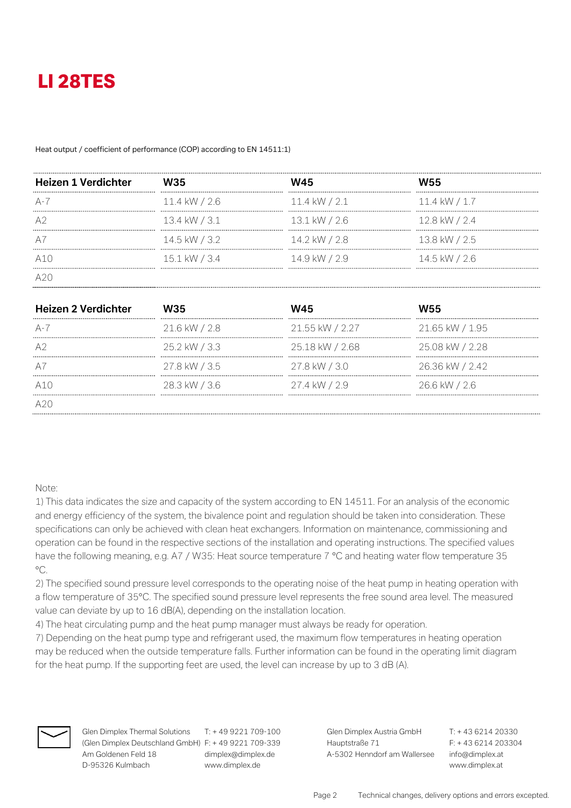#### Heat output / coefficient of performance (COP) according to EN 14511:1)

| <b>Heizen 1 Verdichter</b> | W35           | W45             | W55           |
|----------------------------|---------------|-----------------|---------------|
|                            |               |                 |               |
| $A - I$                    | 11.4 kW / 2.6 | $11.4$ kW / 2.1 | 11.4 kW / 1.7 |
|                            |               |                 |               |
| A2                         | 13.4 kW / 3.1 | 13.1 kW / 2.6   | 12.8 kW / 2.4 |
|                            |               |                 |               |
| A <sub>1</sub>             | 14.5 kW / 3.2 | 14.2 kW / 2.8   | 13.8 kW / 2.5 |
|                            |               |                 |               |
|                            | 15.1 kW / 3.4 | 14.9 kW / 2.9   | 14.5 kW / 2.6 |
|                            |               |                 |               |
|                            |               |                 |               |

| <b>Heizen 2 Verdichter</b> | W35           | W45             | <b>W55</b>      |
|----------------------------|---------------|-----------------|-----------------|
|                            |               |                 |                 |
| $A - I$                    | 21.6 kW / 2.8 | 21.55 kW / 2.27 | 21.65 kW / 1.95 |
|                            |               |                 |                 |
|                            | 25.2 kW / 3.3 | 25.18 kW / 2.68 | 25.08 kW / 2.28 |
|                            |               |                 |                 |
|                            | 27.8 kW / 3.5 | 27.8 kW / 3.0   | 26.36 kW / 2.42 |
|                            |               |                 |                 |
| A1()                       | 28.3 kW / 3.6 | 27.4 kW / 2.9   | 26.6 kW / 2.6   |
|                            |               |                 |                 |

### Note:

1) This data indicates the size and capacity of the system according to EN 14511. For an analysis of the economic and energy efficiency of the system, the bivalence point and regulation should be taken into consideration. These specifications can only be achieved with clean heat exchangers. Information on maintenance, commissioning and operation can be found in the respective sections of the installation and operating instructions. The specified values have the following meaning, e.g. A7 / W35: Heat source temperature 7 °C and heating water flow temperature 35  $^{\circ}C$ .

2) The specified sound pressure level corresponds to the operating noise of the heat pump in heating operation with a flow temperature of 35°C. The specified sound pressure level represents the free sound area level. The measured value can deviate by up to 16 dB(A), depending on the installation location.

4) The heat circulating pump and the heat pump manager must always be ready for operation.

7) Depending on the heat pump type and refrigerant used, the maximum flow temperatures in heating operation may be reduced when the outside temperature falls. Further information can be found in the operating limit diagram for the heat pump. If the supporting feet are used, the level can increase by up to 3 dB (A).



**Glen Dimplex Thermal Solutions** T: + 49 9221 709-100 **Glen Dimplex Austria GmbH** T: + 43 6214 20330 (Glen Dimplex Deutschland GmbH) F: + 49 9221 709-339 Hauptstraße 71 F: + 43 6214 203304 Am Goldenen Feld 18 dimplex@dimplex.de A-5302 Henndorf am Wallersee info@dimplex.at D-95326 Kulmbach www.dimplex.de www.dimplex.at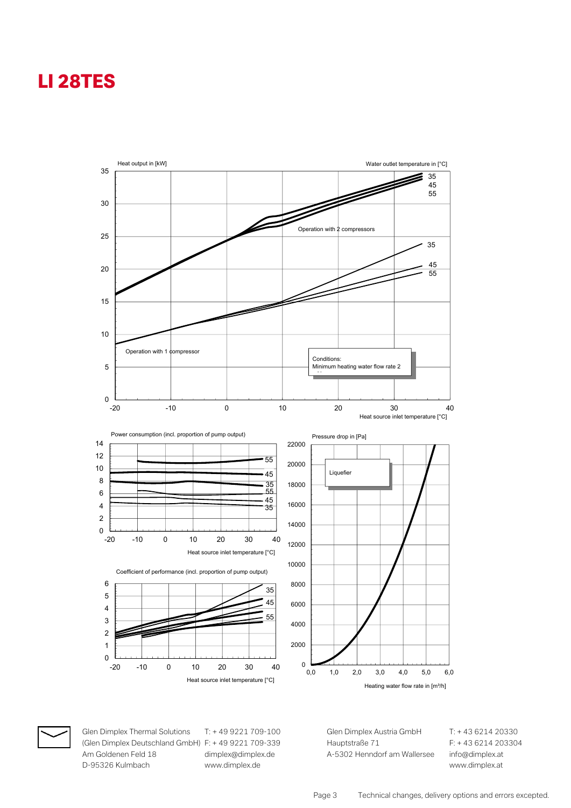



Glen Dimplex Thermal Solutions (Glen Dimplex Deutschland GmbH) F: + 49 9221 709-339 Am Goldenen Feld 18 D-95326 Kulmbach

T: +49 9221 709-100 dimplex@dimplex.de www.dimplex.de

Glen Dimplex Austria GmbH Hauptstraße 71 A-5302 Henndorf am Wallersee T: +43 6214 20330 F: +43 6214 203304 info@dimplex.at www.dimplex.at